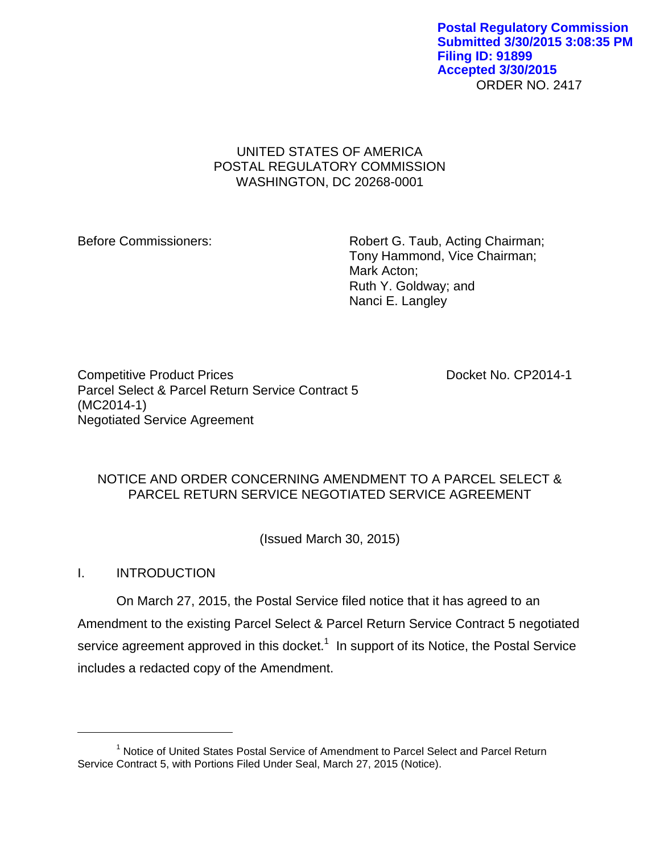ORDER NO. 2417 **Postal Regulatory Commission Submitted 3/30/2015 3:08:35 PM Filing ID: 91899 Accepted 3/30/2015**

# UNITED STATES OF AMERICA POSTAL REGULATORY COMMISSION WASHINGTON, DC 20268-0001

Before Commissioners: Robert G. Taub, Acting Chairman; Tony Hammond, Vice Chairman; Mark Acton; Ruth Y. Goldway; and Nanci E. Langley

Competitive Product Prices **Docket No. CP2014-1** Parcel Select & Parcel Return Service Contract 5 (MC2014-1) Negotiated Service Agreement

# NOTICE AND ORDER CONCERNING AMENDMENT TO A PARCEL SELECT & PARCEL RETURN SERVICE NEGOTIATED SERVICE AGREEMENT

(Issued March 30, 2015)

I. INTRODUCTION

 $\overline{a}$ 

On March 27, 2015, the Postal Service filed notice that it has agreed to an Amendment to the existing Parcel Select & Parcel Return Service Contract 5 negotiated service agreement approved in this docket.<sup>1</sup> In support of its Notice, the Postal Service includes a redacted copy of the Amendment.

<sup>&</sup>lt;sup>1</sup> Notice of United States Postal Service of Amendment to Parcel Select and Parcel Return Service Contract 5, with Portions Filed Under Seal, March 27, 2015 (Notice).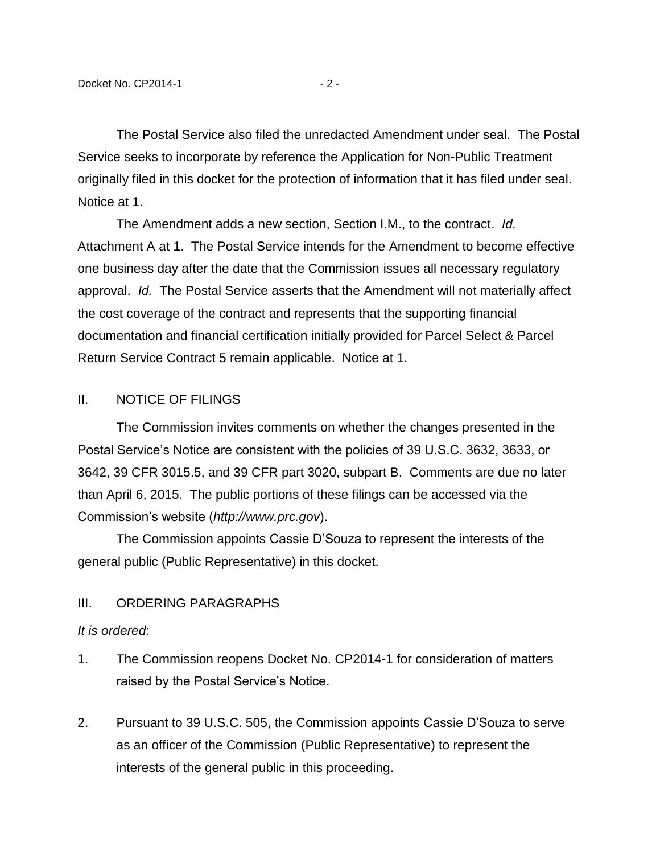The Postal Service also filed the unredacted Amendment under seal. The Postal Service seeks to incorporate by reference the Application for Non-Public Treatment originally filed in this docket for the protection of information that it has filed under seal. Notice at 1.

The Amendment adds a new section, Section I.M., to the contract. *Id.* Attachment A at 1. The Postal Service intends for the Amendment to become effective one business day after the date that the Commission issues all necessary regulatory approval. *Id.* The Postal Service asserts that the Amendment will not materially affect the cost coverage of the contract and represents that the supporting financial documentation and financial certification initially provided for Parcel Select & Parcel Return Service Contract 5 remain applicable. Notice at 1.

### II. NOTICE OF FILINGS

The Commission invites comments on whether the changes presented in the Postal Service's Notice are consistent with the policies of 39 U.S.C. 3632, 3633, or 3642, 39 CFR 3015.5, and 39 CFR part 3020, subpart B. Comments are due no later than April 6, 2015. The public portions of these filings can be accessed via the Commission's website (*http://www.prc.gov*).

The Commission appoints Cassie D'Souza to represent the interests of the general public (Public Representative) in this docket.

### III. ORDERING PARAGRAPHS

### *It is ordered*:

- 1. The Commission reopens Docket No. CP2014-1 for consideration of matters raised by the Postal Service's Notice.
- 2. Pursuant to 39 U.S.C. 505, the Commission appoints Cassie D'Souza to serve as an officer of the Commission (Public Representative) to represent the interests of the general public in this proceeding.